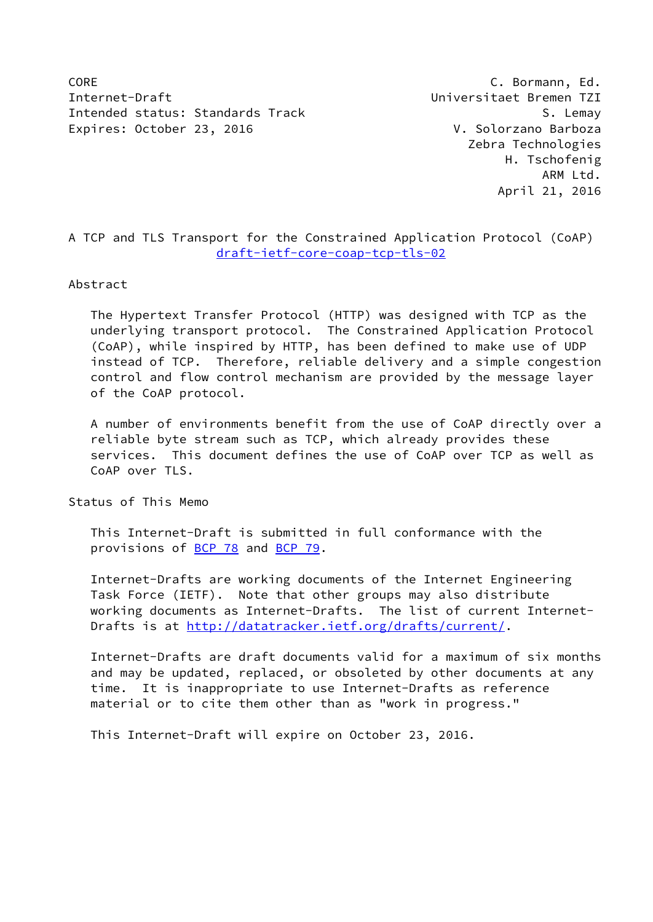CORE C. Bormann, Ed. Internet-Draft Universitaet Bremen TZI Intended status: Standards Track Superintended S. Lemay Expires: October 23, 2016 V. Solorzano Barboza

 Zebra Technologies H. Tschofenig ARM Ltd. April 21, 2016

# A TCP and TLS Transport for the Constrained Application Protocol (CoAP) [draft-ietf-core-coap-tcp-tls-02](https://datatracker.ietf.org/doc/pdf/draft-ietf-core-coap-tcp-tls-02)

#### Abstract

 The Hypertext Transfer Protocol (HTTP) was designed with TCP as the underlying transport protocol. The Constrained Application Protocol (CoAP), while inspired by HTTP, has been defined to make use of UDP instead of TCP. Therefore, reliable delivery and a simple congestion control and flow control mechanism are provided by the message layer of the CoAP protocol.

 A number of environments benefit from the use of CoAP directly over a reliable byte stream such as TCP, which already provides these services. This document defines the use of CoAP over TCP as well as CoAP over TLS.

Status of This Memo

 This Internet-Draft is submitted in full conformance with the provisions of [BCP 78](https://datatracker.ietf.org/doc/pdf/bcp78) and [BCP 79](https://datatracker.ietf.org/doc/pdf/bcp79).

 Internet-Drafts are working documents of the Internet Engineering Task Force (IETF). Note that other groups may also distribute working documents as Internet-Drafts. The list of current Internet- Drafts is at<http://datatracker.ietf.org/drafts/current/>.

 Internet-Drafts are draft documents valid for a maximum of six months and may be updated, replaced, or obsoleted by other documents at any time. It is inappropriate to use Internet-Drafts as reference material or to cite them other than as "work in progress."

This Internet-Draft will expire on October 23, 2016.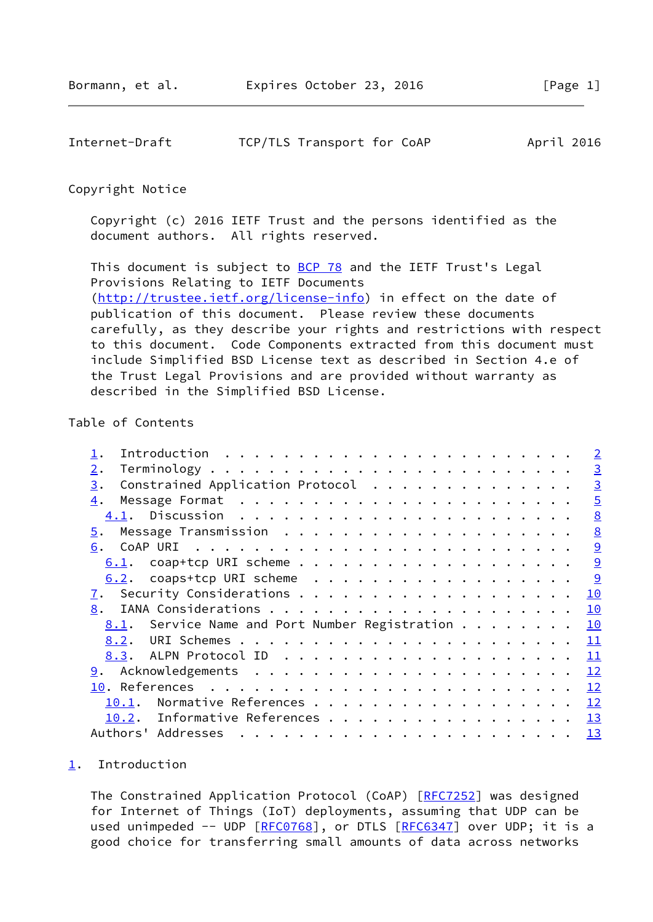<span id="page-1-1"></span>

| Internet-Draft |  | TCP/TLS Transport for CoAP |  | April 2016 |
|----------------|--|----------------------------|--|------------|
|----------------|--|----------------------------|--|------------|

### Copyright Notice

 Copyright (c) 2016 IETF Trust and the persons identified as the document authors. All rights reserved.

This document is subject to **[BCP 78](https://datatracker.ietf.org/doc/pdf/bcp78)** and the IETF Trust's Legal Provisions Relating to IETF Documents [\(http://trustee.ietf.org/license-info](http://trustee.ietf.org/license-info)) in effect on the date of publication of this document. Please review these documents carefully, as they describe your rights and restrictions with respect to this document. Code Components extracted from this document must include Simplified BSD License text as described in Section 4.e of the Trust Legal Provisions and are provided without warranty as described in the Simplified BSD License.

## Table of Contents

#### <span id="page-1-0"></span>[1](#page-1-0). Introduction

 The Constrained Application Protocol (CoAP) [\[RFC7252](https://datatracker.ietf.org/doc/pdf/rfc7252)] was designed for Internet of Things (IoT) deployments, assuming that UDP can be used unimpeded -- UDP [[RFC0768](https://datatracker.ietf.org/doc/pdf/rfc0768)], or DTLS [\[RFC6347](https://datatracker.ietf.org/doc/pdf/rfc6347)] over UDP; it is a good choice for transferring small amounts of data across networks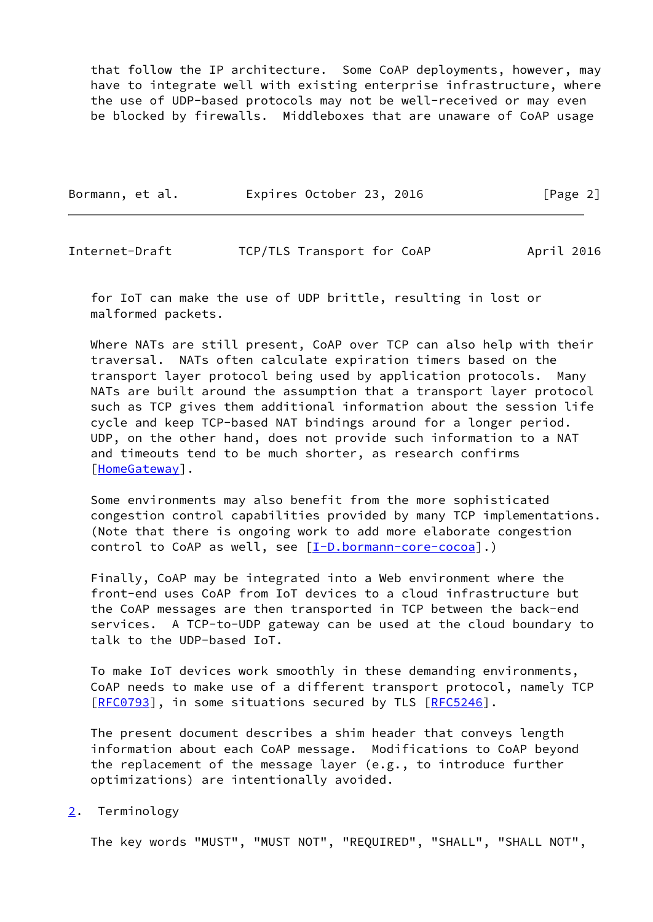that follow the IP architecture. Some CoAP deployments, however, may have to integrate well with existing enterprise infrastructure, where the use of UDP-based protocols may not be well-received or may even be blocked by firewalls. Middleboxes that are unaware of CoAP usage

| Bormann, et al. | Expires October 23, 2016 | [Page 2] |
|-----------------|--------------------------|----------|
|                 |                          |          |

<span id="page-2-1"></span>

| Internet-Draft | TCP/TLS Transport for CoAP | April 2016 |
|----------------|----------------------------|------------|
|----------------|----------------------------|------------|

 for IoT can make the use of UDP brittle, resulting in lost or malformed packets.

 Where NATs are still present, CoAP over TCP can also help with their traversal. NATs often calculate expiration timers based on the transport layer protocol being used by application protocols. Many NATs are built around the assumption that a transport layer protocol such as TCP gives them additional information about the session life cycle and keep TCP-based NAT bindings around for a longer period. UDP, on the other hand, does not provide such information to a NAT and timeouts tend to be much shorter, as research confirms [\[HomeGateway](#page-13-2)].

 Some environments may also benefit from the more sophisticated congestion control capabilities provided by many TCP implementations. (Note that there is ongoing work to add more elaborate congestion control to CoAP as well, see [\[I-D.bormann-core-cocoa](#page-13-3)].)

 Finally, CoAP may be integrated into a Web environment where the front-end uses CoAP from IoT devices to a cloud infrastructure but the CoAP messages are then transported in TCP between the back-end services. A TCP-to-UDP gateway can be used at the cloud boundary to talk to the UDP-based IoT.

 To make IoT devices work smoothly in these demanding environments, CoAP needs to make use of a different transport protocol, namely TCP [\[RFC0793](https://datatracker.ietf.org/doc/pdf/rfc0793)], in some situations secured by TLS [\[RFC5246](https://datatracker.ietf.org/doc/pdf/rfc5246)].

 The present document describes a shim header that conveys length information about each CoAP message. Modifications to CoAP beyond the replacement of the message layer (e.g., to introduce further optimizations) are intentionally avoided.

### <span id="page-2-0"></span>[2](#page-2-0). Terminology

The key words "MUST", "MUST NOT", "REQUIRED", "SHALL", "SHALL NOT",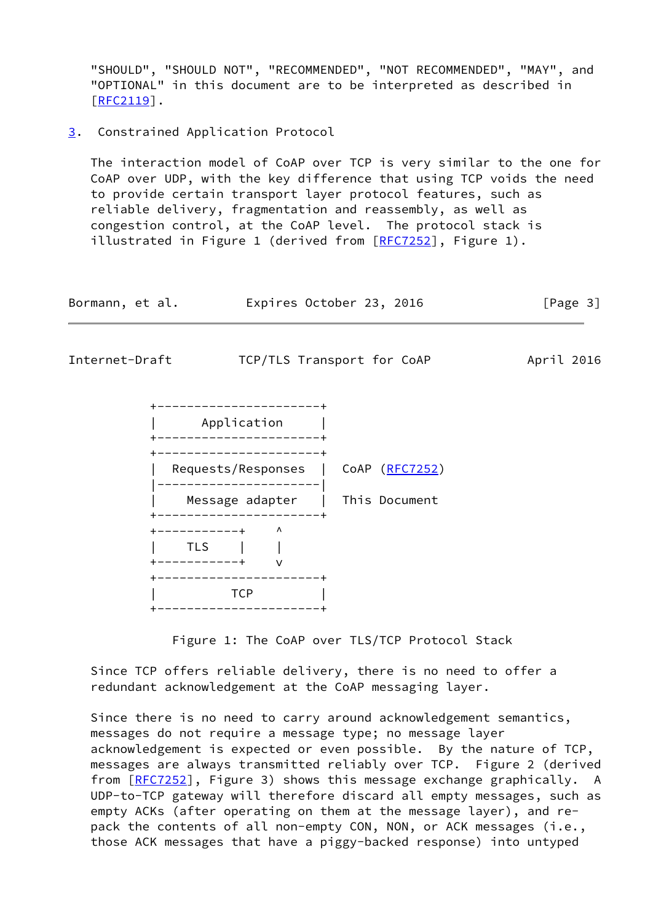"SHOULD", "SHOULD NOT", "RECOMMENDED", "NOT RECOMMENDED", "MAY", and "OPTIONAL" in this document are to be interpreted as described in [\[RFC2119](https://datatracker.ietf.org/doc/pdf/rfc2119)].

<span id="page-3-0"></span>[3](#page-3-0). Constrained Application Protocol

 The interaction model of CoAP over TCP is very similar to the one for CoAP over UDP, with the key difference that using TCP voids the need to provide certain transport layer protocol features, such as reliable delivery, fragmentation and reassembly, as well as congestion control, at the CoAP level. The protocol stack is illustrated in Figure 1 (derived from [[RFC7252](https://datatracker.ietf.org/doc/pdf/rfc7252)], Figure 1).

| Bormann, et al. | Expires October 23, 2016 |  | [Page 3] |
|-----------------|--------------------------|--|----------|
|-----------------|--------------------------|--|----------|



 Since TCP offers reliable delivery, there is no need to offer a redundant acknowledgement at the CoAP messaging layer.

 Since there is no need to carry around acknowledgement semantics, messages do not require a message type; no message layer acknowledgement is expected or even possible. By the nature of TCP, messages are always transmitted reliably over TCP. Figure 2 (derived from [\[RFC7252](https://datatracker.ietf.org/doc/pdf/rfc7252)], Figure 3) shows this message exchange graphically. A UDP-to-TCP gateway will therefore discard all empty messages, such as empty ACKs (after operating on them at the message layer), and re pack the contents of all non-empty CON, NON, or ACK messages (i.e., those ACK messages that have a piggy-backed response) into untyped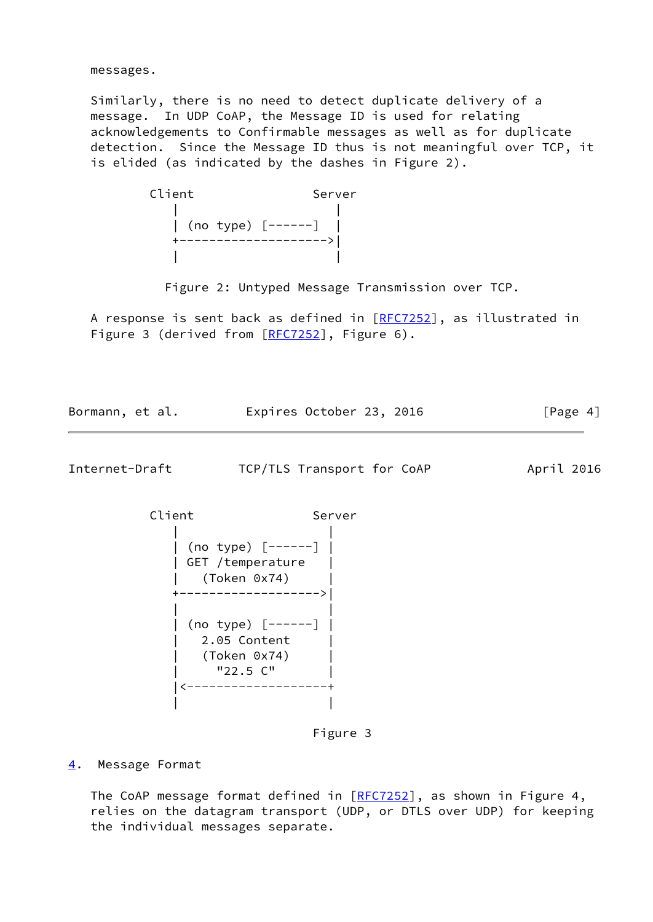messages.

 Similarly, there is no need to detect duplicate delivery of a message. In UDP CoAP, the Message ID is used for relating acknowledgements to Confirmable messages as well as for duplicate detection. Since the Message ID thus is not meaningful over TCP, it is elided (as indicated by the dashes in Figure 2).

| Client                     | Server |
|----------------------------|--------|
|                            |        |
| $\vert$ (no type) $[----]$ |        |
|                            |        |
|                            |        |

Figure 2: Untyped Message Transmission over TCP.

A response is sent back as defined in [[RFC7252](https://datatracker.ietf.org/doc/pdf/rfc7252)], as illustrated in Figure 3 (derived from [\[RFC7252](https://datatracker.ietf.org/doc/pdf/rfc7252)], Figure 6).

Bormann, et al. Expires October 23, 2016 [Page 4]

<span id="page-4-1"></span>Internet-Draft TCP/TLS Transport for CoAP April 2016

Client Server | | | (no type) [------] | | GET /temperature | | (Token 0x74) | +------------------->| | | | (no type) [------] | | 2.05 Content | | (Token 0x74) | | "22.5 C" | |<-------------------+ | |

Figure 3

<span id="page-4-0"></span>[4](#page-4-0). Message Format

The CoAP message format defined in [[RFC7252\]](https://datatracker.ietf.org/doc/pdf/rfc7252), as shown in Figure 4, relies on the datagram transport (UDP, or DTLS over UDP) for keeping the individual messages separate.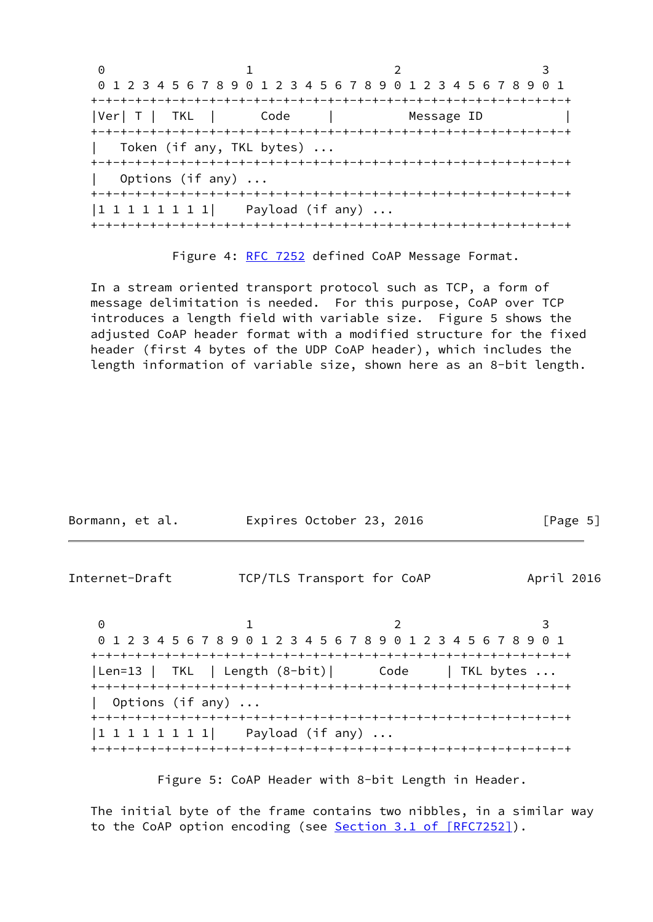0 1 2 3 0 1 2 3 4 5 6 7 8 9 0 1 2 3 4 5 6 7 8 9 0 1 2 3 4 5 6 7 8 9 0 1 +-+-+-+-+-+-+-+-+-+-+-+-+-+-+-+-+-+-+-+-+-+-+-+-+-+-+-+-+-+-+-+-+ |Ver| T | TKL | Code | Message ID +-+-+-+-+-+-+-+-+-+-+-+-+-+-+-+-+-+-+-+-+-+-+-+-+-+-+-+-+-+-+-+-+ Token (if any, TKL bytes) ... +-+-+-+-+-+-+-+-+-+-+-+-+-+-+-+-+-+-+-+-+-+-+-+-+-+-+-+-+-+-+-+-+ Options (if any) ... +-+-+-+-+-+-+-+-+-+-+-+-+-+-+-+-+-+-+-+-+-+-+-+-+-+-+-+-+-+-+-+-+ |1 1 1 1 1 1 1 1| Payload (if any) ... +-+-+-+-+-+-+-+-+-+-+-+-+-+-+-+-+-+-+-+-+-+-+-+-+-+-+-+-+-+-+-+-+

Figure 4: [RFC 7252](https://datatracker.ietf.org/doc/pdf/rfc7252) defined CoAP Message Format.

 In a stream oriented transport protocol such as TCP, a form of message delimitation is needed. For this purpose, CoAP over TCP introduces a length field with variable size. Figure 5 shows the adjusted CoAP header format with a modified structure for the fixed header (first 4 bytes of the UDP CoAP header), which includes the length information of variable size, shown here as an 8-bit length.

| Bormann, et al. |                           | Expires October 23, 2016                                           | [Page $5$ ] |
|-----------------|---------------------------|--------------------------------------------------------------------|-------------|
| Internet-Draft  |                           | TCP/TLS Transport for CoAP                                         | April 2016  |
| 0               |                           | ı<br>1 2 3 4 5 6 7 8 9 0 1 2 3 4 5 6 7 8 9 0 1 2 3 4 5 6 7 8 9 0 1 | 3           |
|                 |                           | Len=13   TKL   Length (8-bit)  Code   TKL bytes                    |             |
|                 | Options (if any) $\ldots$ |                                                                    |             |
|                 |                           | $ 1\;1\;1\;1\;1\;1\;1\;1 $ Payload (if any)                        |             |

Figure 5: CoAP Header with 8-bit Length in Header.

 The initial byte of the frame contains two nibbles, in a similar way to the CoAP option encoding (see Section [3.1 of \[RFC7252\]](https://datatracker.ietf.org/doc/pdf/rfc7252#section-3.1)).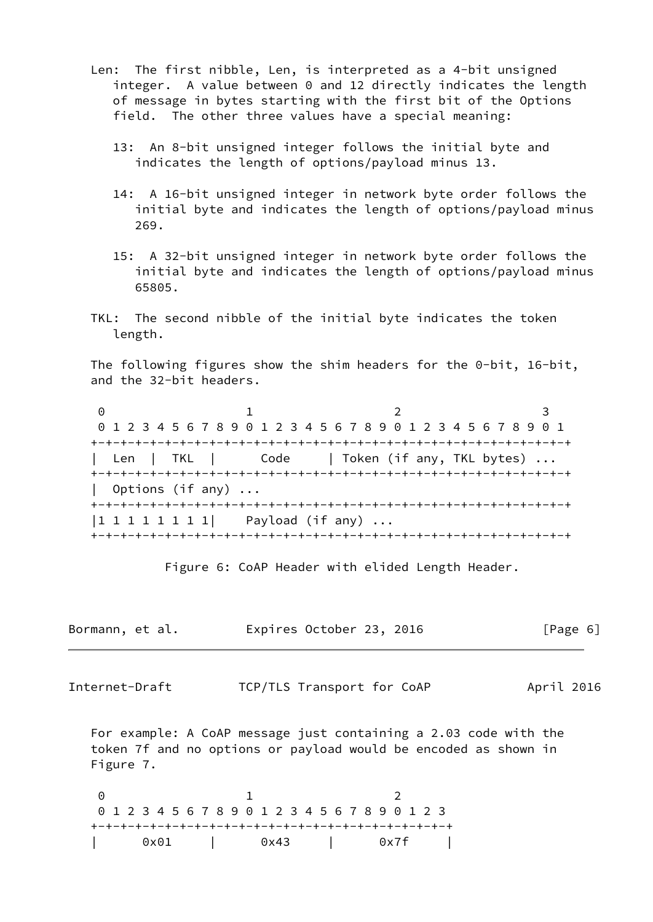- Len: The first nibble, Len, is interpreted as a 4-bit unsigned integer. A value between 0 and 12 directly indicates the length of message in bytes starting with the first bit of the Options field. The other three values have a special meaning:
	- 13: An 8-bit unsigned integer follows the initial byte and indicates the length of options/payload minus 13.
	- 14: A 16-bit unsigned integer in network byte order follows the initial byte and indicates the length of options/payload minus 269.
	- 15: A 32-bit unsigned integer in network byte order follows the initial byte and indicates the length of options/payload minus 65805.
- TKL: The second nibble of the initial byte indicates the token length.

 The following figures show the shim headers for the 0-bit, 16-bit, and the 32-bit headers.

0 1 2 3 0 1 2 3 4 5 6 7 8 9 0 1 2 3 4 5 6 7 8 9 0 1 2 3 4 5 6 7 8 9 0 1 +-+-+-+-+-+-+-+-+-+-+-+-+-+-+-+-+-+-+-+-+-+-+-+-+-+-+-+-+-+-+-+-+ | Len | TKL | Code | Token (if any, TKL bytes) ... +-+-+-+-+-+-+-+-+-+-+-+-+-+-+-+-+-+-+-+-+-+-+-+-+-+-+-+-+-+-+-+-+ | Options (if any) ... +-+-+-+-+-+-+-+-+-+-+-+-+-+-+-+-+-+-+-+-+-+-+-+-+-+-+-+-+-+-+-+-+  $|1 1 1 1 1 1 1 1|$  Payload (if any) ... +-+-+-+-+-+-+-+-+-+-+-+-+-+-+-+-+-+-+-+-+-+-+-+-+-+-+-+-+-+-+-+-+

Figure 6: CoAP Header with elided Length Header.

| Bormann, et al. |  |  | Expires October 23, 2016 |  |  |  | [Page 6] |
|-----------------|--|--|--------------------------|--|--|--|----------|
|-----------------|--|--|--------------------------|--|--|--|----------|

Internet-Draft TCP/TLS Transport for CoAP April 2016

 For example: A CoAP message just containing a 2.03 code with the token 7f and no options or payload would be encoded as shown in Figure 7.

0 1 2 0 1 2 3 4 5 6 7 8 9 0 1 2 3 4 5 6 7 8 9 0 1 2 3 +-+-+-+-+-+-+-+-+-+-+-+-+-+-+-+-+-+-+-+-+-+-+-+-+ | 0x01 | 0x43 | 0x7f |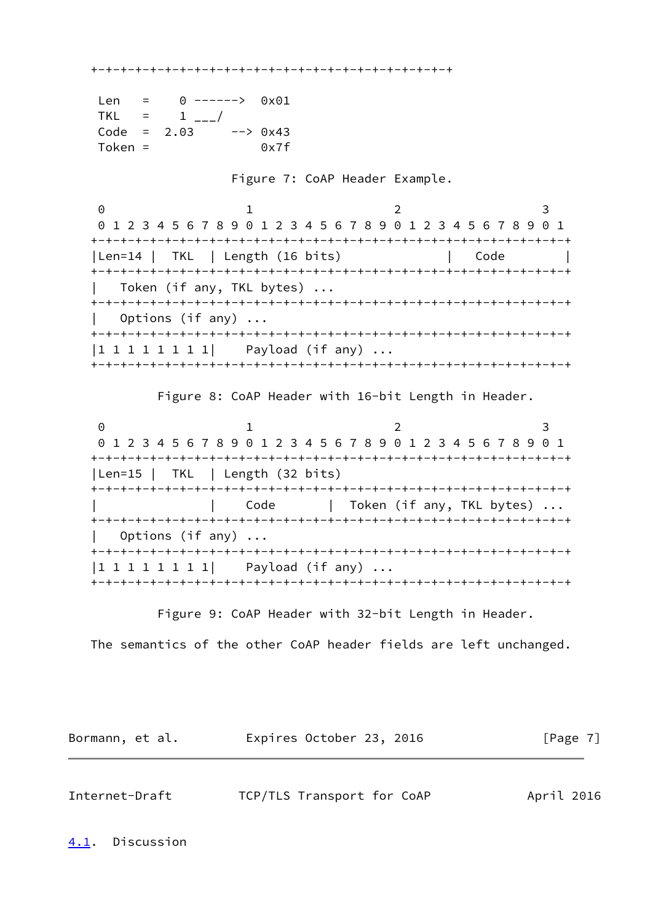+-+-+-+-+-+-+-+-+-+-+-+-+-+-+-+-+-+-+-+-+-+-+-+-+

| Len           | $0$ ------> $0 \times 01$ |                                                                                                         |
|---------------|---------------------------|---------------------------------------------------------------------------------------------------------|
| TKI.          | $=$ $\perp$ $\perp$       |                                                                                                         |
| $Code = 2.03$ |                           | $\leftarrow$ $\leftarrow$ $\leftarrow$ $\leftarrow$ $\leftarrow$ $\leftarrow$ $\leftarrow$ $\leftarrow$ |
| Token $=$     |                           | 0x7f                                                                                                    |

Figure 7: CoAP Header Example.

0 1 2 3 0 1 2 3 4 5 6 7 8 9 0 1 2 3 4 5 6 7 8 9 0 1 2 3 4 5 6 7 8 9 0 1 +-+-+-+-+-+-+-+-+-+-+-+-+-+-+-+-+-+-+-+-+-+-+-+-+-+-+-+-+-+-+-+-+ | Len=14 | TKL | Length (16 bits) | Code | +-+-+-+-+-+-+-+-+-+-+-+-+-+-+-+-+-+-+-+-+-+-+-+-+-+-+-+-+-+-+-+-+ Token (if any, TKL bytes) ... +-+-+-+-+-+-+-+-+-+-+-+-+-+-+-+-+-+-+-+-+-+-+-+-+-+-+-+-+-+-+-+-+ Options (if any)  $\ldots$  +-+-+-+-+-+-+-+-+-+-+-+-+-+-+-+-+-+-+-+-+-+-+-+-+-+-+-+-+-+-+-+-+ |1 1 1 1 1 1 1 | Payload (if any) ... +-+-+-+-+-+-+-+-+-+-+-+-+-+-+-+-+-+-+-+-+-+-+-+-+-+-+-+-+-+-+-+-+

Figure 8: CoAP Header with 16-bit Length in Header.

0 1 2 3 0 1 2 3 4 5 6 7 8 9 0 1 2 3 4 5 6 7 8 9 0 1 2 3 4 5 6 7 8 9 0 1 +-+-+-+-+-+-+-+-+-+-+-+-+-+-+-+-+-+-+-+-+-+-+-+-+-+-+-+-+-+-+-+-+ |Len=15 | TKL | Length (32 bits) +-+-+-+-+-+-+-+-+-+-+-+-+-+-+-+-+-+-+-+-+-+-+-+-+-+-+-+-+-+-+-+-+ | Code | Token (if any, TKL bytes) ... +-+-+-+-+-+-+-+-+-+-+-+-+-+-+-+-+-+-+-+-+-+-+-+-+-+-+-+-+-+-+-+-+ Options (if any)  $\ldots$  +-+-+-+-+-+-+-+-+-+-+-+-+-+-+-+-+-+-+-+-+-+-+-+-+-+-+-+-+-+-+-+-+  $|1 1 1 1 1 1 1 1|$  Payload (if any) ... +-+-+-+-+-+-+-+-+-+-+-+-+-+-+-+-+-+-+-+-+-+-+-+-+-+-+-+-+-+-+-+-+

Figure 9: CoAP Header with 32-bit Length in Header.

The semantics of the other CoAP header fields are left unchanged.

| Expires October 23, 2016<br>[Page 7]<br>Bormann, et al. |  |  |
|---------------------------------------------------------|--|--|
|---------------------------------------------------------|--|--|

<span id="page-7-1"></span><span id="page-7-0"></span>

| Internet-Draft | TCP/TLS Transport for CoAP | April 2016 |
|----------------|----------------------------|------------|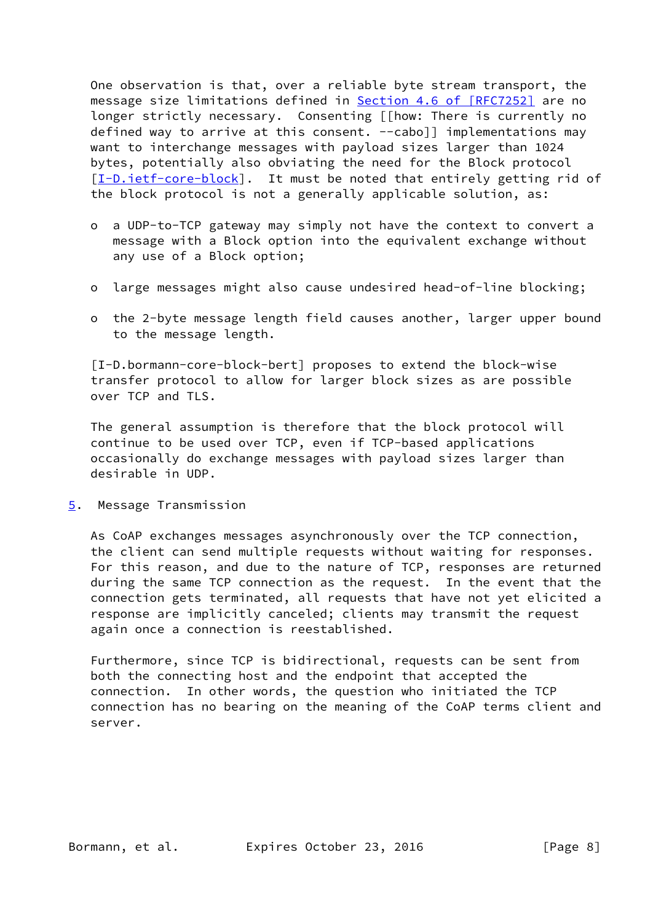One observation is that, over a reliable byte stream transport, the message size limitations defined in Section [4.6 of \[RFC7252\]](https://datatracker.ietf.org/doc/pdf/rfc7252#section-4.6) are no longer strictly necessary. Consenting [[how: There is currently no defined way to arrive at this consent.  $--cabo$ ]] implementations may want to interchange messages with payload sizes larger than 1024 bytes, potentially also obviating the need for the Block protocol [\[I-D.ietf-core-block](#page-14-0)]. It must be noted that entirely getting rid of the block protocol is not a generally applicable solution, as:

- o a UDP-to-TCP gateway may simply not have the context to convert a message with a Block option into the equivalent exchange without any use of a Block option;
- o large messages might also cause undesired head-of-line blocking;
- o the 2-byte message length field causes another, larger upper bound to the message length.

 [I-D.bormann-core-block-bert] proposes to extend the block-wise transfer protocol to allow for larger block sizes as are possible over TCP and TLS.

 The general assumption is therefore that the block protocol will continue to be used over TCP, even if TCP-based applications occasionally do exchange messages with payload sizes larger than desirable in UDP.

<span id="page-8-0"></span>[5](#page-8-0). Message Transmission

 As CoAP exchanges messages asynchronously over the TCP connection, the client can send multiple requests without waiting for responses. For this reason, and due to the nature of TCP, responses are returned during the same TCP connection as the request. In the event that the connection gets terminated, all requests that have not yet elicited a response are implicitly canceled; clients may transmit the request again once a connection is reestablished.

 Furthermore, since TCP is bidirectional, requests can be sent from both the connecting host and the endpoint that accepted the connection. In other words, the question who initiated the TCP connection has no bearing on the meaning of the CoAP terms client and server.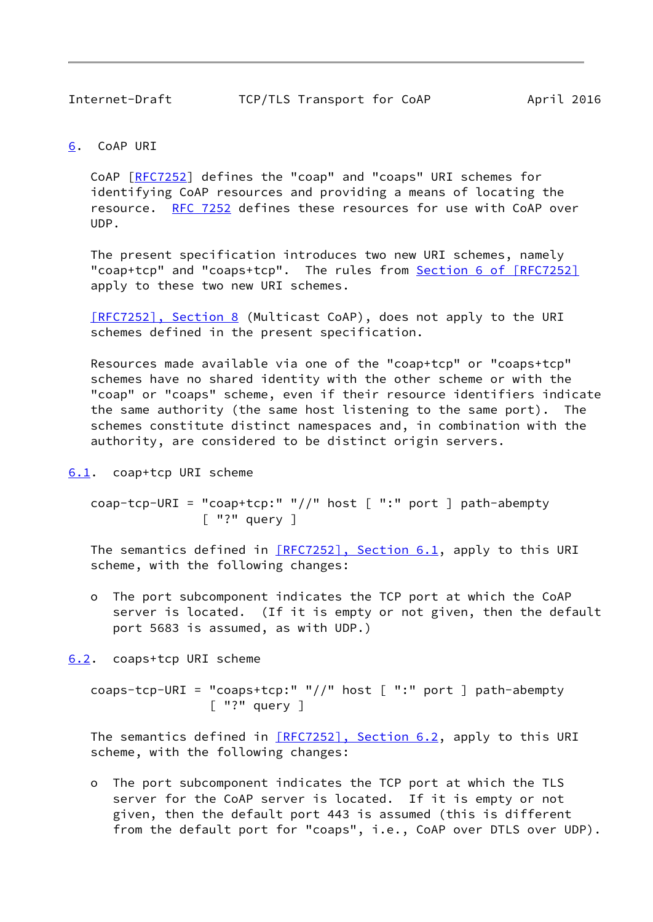## <span id="page-9-1"></span><span id="page-9-0"></span>[6](#page-9-0). CoAP URI

 CoAP [\[RFC7252](https://datatracker.ietf.org/doc/pdf/rfc7252)] defines the "coap" and "coaps" URI schemes for identifying CoAP resources and providing a means of locating the resource. [RFC 7252](https://datatracker.ietf.org/doc/pdf/rfc7252) defines these resources for use with CoAP over UDP.

 The present specification introduces two new URI schemes, namely "coap+tcp" and "coaps+tcp". The rules from Section [6 of \[RFC7252\]](https://datatracker.ietf.org/doc/pdf/rfc7252#section-6) apply to these two new URI schemes.

 [\[RFC7252\], Section](https://datatracker.ietf.org/doc/pdf/rfc7252#section-8) 8 (Multicast CoAP), does not apply to the URI schemes defined in the present specification.

 Resources made available via one of the "coap+tcp" or "coaps+tcp" schemes have no shared identity with the other scheme or with the "coap" or "coaps" scheme, even if their resource identifiers indicate the same authority (the same host listening to the same port). The schemes constitute distinct namespaces and, in combination with the authority, are considered to be distinct origin servers.

<span id="page-9-2"></span>[6.1](#page-9-2). coap+tcp URI scheme

```
 coap-tcp-URI = "coap+tcp:" "//" host [ ":" port ] path-abempty
     \lceil "?" query \rceil
```
The semantics defined in [\[RFC7252\], Section](https://datatracker.ietf.org/doc/pdf/rfc7252#section-6.1) 6.1, apply to this URI scheme, with the following changes:

 o The port subcomponent indicates the TCP port at which the CoAP server is located. (If it is empty or not given, then the default port 5683 is assumed, as with UDP.)

<span id="page-9-3"></span>[6.2](#page-9-3). coaps+tcp URI scheme

 coaps-tcp-URI = "coaps+tcp:" "//" host [ ":" port ] path-abempty [ "?" query ]

The semantics defined in [\[RFC7252\], Section](https://datatracker.ietf.org/doc/pdf/rfc7252#section-6.2) 6.2, apply to this URI scheme, with the following changes:

 o The port subcomponent indicates the TCP port at which the TLS server for the CoAP server is located. If it is empty or not given, then the default port 443 is assumed (this is different from the default port for "coaps", i.e., CoAP over DTLS over UDP).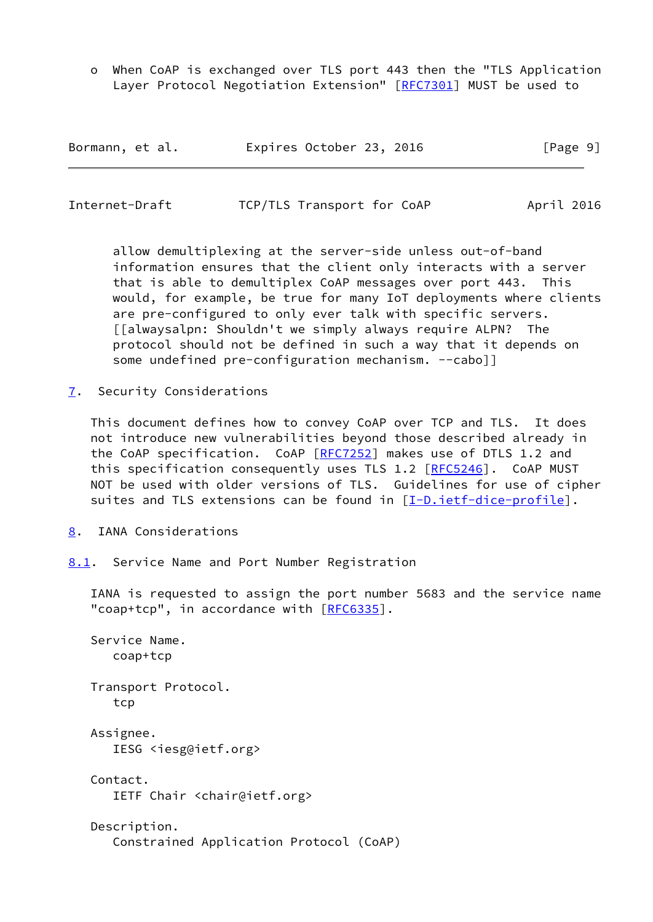o When CoAP is exchanged over TLS port 443 then the "TLS Application Layer Protocol Negotiation Extension" [\[RFC7301](https://datatracker.ietf.org/doc/pdf/rfc7301)] MUST be used to

| Bormann, et al. | Expires October 23, 2016 | [Page 9] |
|-----------------|--------------------------|----------|
|-----------------|--------------------------|----------|

<span id="page-10-1"></span>

| Internet-Draft | TCP/TLS Transport for CoAP | April 2016 |
|----------------|----------------------------|------------|
|                |                            |            |

 allow demultiplexing at the server-side unless out-of-band information ensures that the client only interacts with a server that is able to demultiplex CoAP messages over port 443. This would, for example, be true for many IoT deployments where clients are pre-configured to only ever talk with specific servers. [[alwaysalpn: Shouldn't we simply always require ALPN? The protocol should not be defined in such a way that it depends on some undefined pre-configuration mechanism. --caboll

<span id="page-10-0"></span>[7](#page-10-0). Security Considerations

 This document defines how to convey CoAP over TCP and TLS. It does not introduce new vulnerabilities beyond those described already in the CoAP specification. CoAP [[RFC7252](https://datatracker.ietf.org/doc/pdf/rfc7252)] makes use of DTLS 1.2 and this specification consequently uses TLS 1.2 [\[RFC5246](https://datatracker.ietf.org/doc/pdf/rfc5246)]. CoAP MUST NOT be used with older versions of TLS. Guidelines for use of cipher suites and TLS extensions can be found in [[I-D.ietf-dice-profile\]](#page-12-5).

- <span id="page-10-2"></span>[8](#page-10-2). IANA Considerations
- <span id="page-10-3"></span>[8.1](#page-10-3). Service Name and Port Number Registration

 IANA is requested to assign the port number 5683 and the service name "coap+tcp", in accordance with [\[RFC6335](https://datatracker.ietf.org/doc/pdf/rfc6335)].

 Service Name. coap+tcp Transport Protocol. tcp Assignee. IESG <iesg@ietf.org> Contact. IETF Chair <chair@ietf.org> Description. Constrained Application Protocol (CoAP)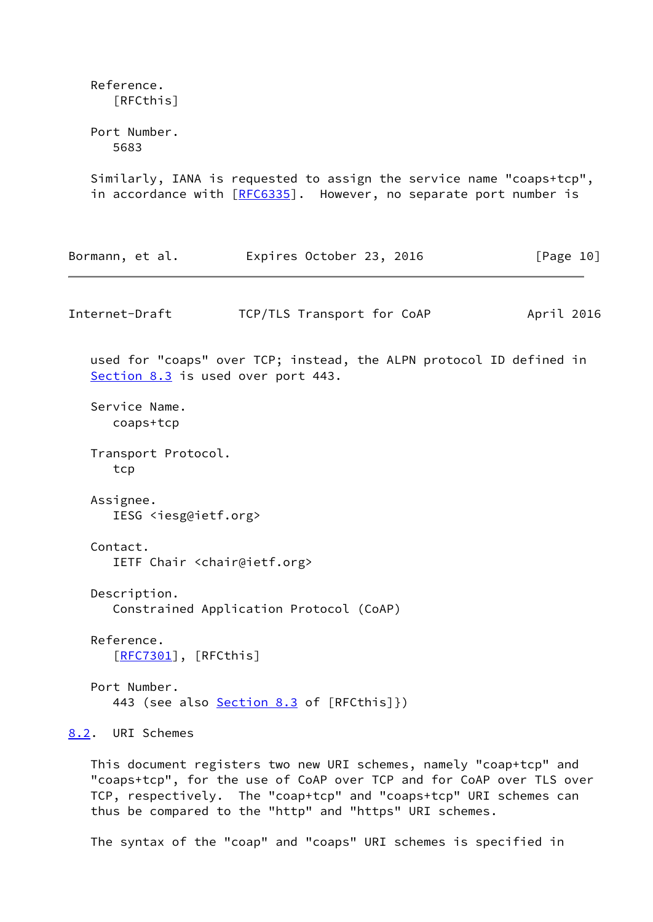<span id="page-11-1"></span> Reference. [RFCthis] Port Number. 5683 Similarly, IANA is requested to assign the service name "coaps+tcp", in accordance with [[RFC6335\]](https://datatracker.ietf.org/doc/pdf/rfc6335). However, no separate port number is Bormann, et al. Expires October 23, 2016 [Page 10] Internet-Draft TCP/TLS Transport for CoAP April 2016 used for "coaps" over TCP; instead, the ALPN protocol ID defined in [Section 8.3](#page-12-0) is used over port 443. Service Name. coaps+tcp Transport Protocol. tcp Assignee. IESG <iesg@ietf.org> Contact. IETF Chair <chair@ietf.org> Description. Constrained Application Protocol (CoAP) Reference. [[RFC7301\]](https://datatracker.ietf.org/doc/pdf/rfc7301), [RFCthis] Port Number. 443 (see also [Section 8.3](#page-12-0) of [RFCthis]}) [8.2](#page-11-0). URI Schemes This document registers two new URI schemes, namely "coap+tcp" and "coaps+tcp", for the use of CoAP over TCP and for CoAP over TLS over TCP, respectively. The "coap+tcp" and "coaps+tcp" URI schemes can

The syntax of the "coap" and "coaps" URI schemes is specified in

<span id="page-11-0"></span>thus be compared to the "http" and "https" URI schemes.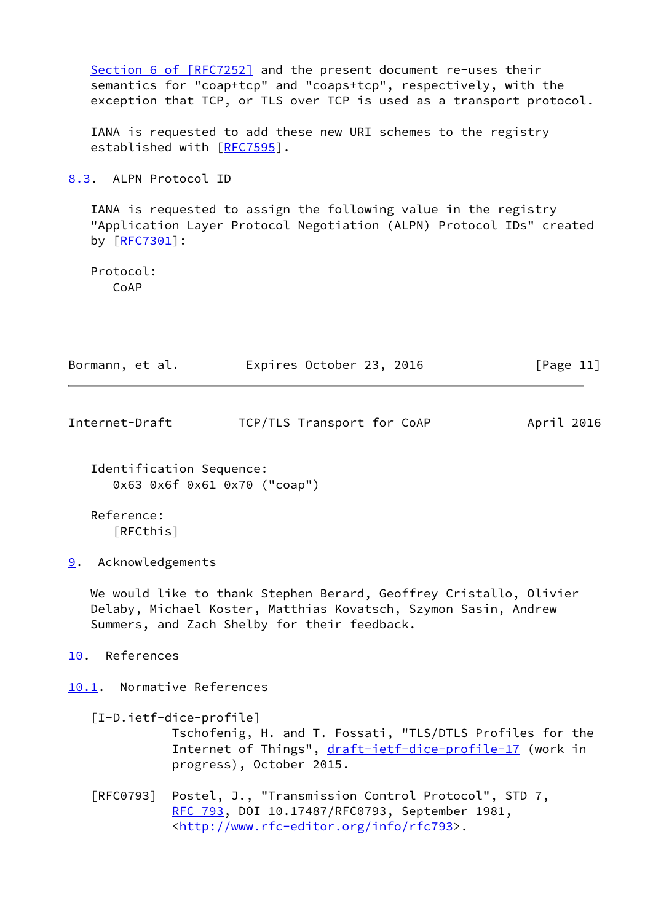<span id="page-12-5"></span><span id="page-12-4"></span><span id="page-12-3"></span><span id="page-12-2"></span><span id="page-12-1"></span><span id="page-12-0"></span>

|                         | Section 6 of [RFC7252] and the present document re-uses their<br>semantics for "coap+tcp" and "coaps+tcp", respectively, with the<br>exception that TCP, or TLS over TCP is used as a transport protocol. |            |
|-------------------------|-----------------------------------------------------------------------------------------------------------------------------------------------------------------------------------------------------------|------------|
|                         | IANA is requested to add these new URI schemes to the registry<br>established with [RFC7595].                                                                                                             |            |
| 8.3. ALPN Protocol ID   |                                                                                                                                                                                                           |            |
| by [RFC7301]:           | IANA is requested to assign the following value in the registry<br>"Application Layer Protocol Negotiation (ALPN) Protocol IDs" created                                                                   |            |
| Protocol:<br>CoAP       |                                                                                                                                                                                                           |            |
| Bormann, et al.         | Expires October 23, 2016                                                                                                                                                                                  | [Page 11]  |
| Internet-Draft          | TCP/TLS Transport for CoAP                                                                                                                                                                                | April 2016 |
|                         | Identification Sequence:<br>0x63 0x6f 0x61 0x70 ("coap")                                                                                                                                                  |            |
| Reference:<br>[RFCthis] |                                                                                                                                                                                                           |            |
| Acknowledgements<br>9.  |                                                                                                                                                                                                           |            |
|                         | We would like to thank Stephen Berard, Geoffrey Cristallo, Olivier<br>Delaby, Michael Koster, Matthias Kovatsch, Szymon Sasin, Andrew<br>Summers, and Zach Shelby for their feedback.                     |            |
| References<br>10.       |                                                                                                                                                                                                           |            |
|                         | 10.1. Normative References                                                                                                                                                                                |            |
|                         | $[I-D.ietf-dice-profile]$<br>Tschofenig, H. and T. Fossati, "TLS/DTLS Profiles for the<br>Internet of Things", draft-ietf-dice-profile-17 (work in<br>progress), October 2015.                            |            |
| [REO793]                | Postel, J., "Transmission Control Protocol", STD 7,<br>RFC 793, DOI 10.17487/RFC0793, September 1981,<br><http: info="" rfc793="" www.rfc-editor.org="">.</http:>                                         |            |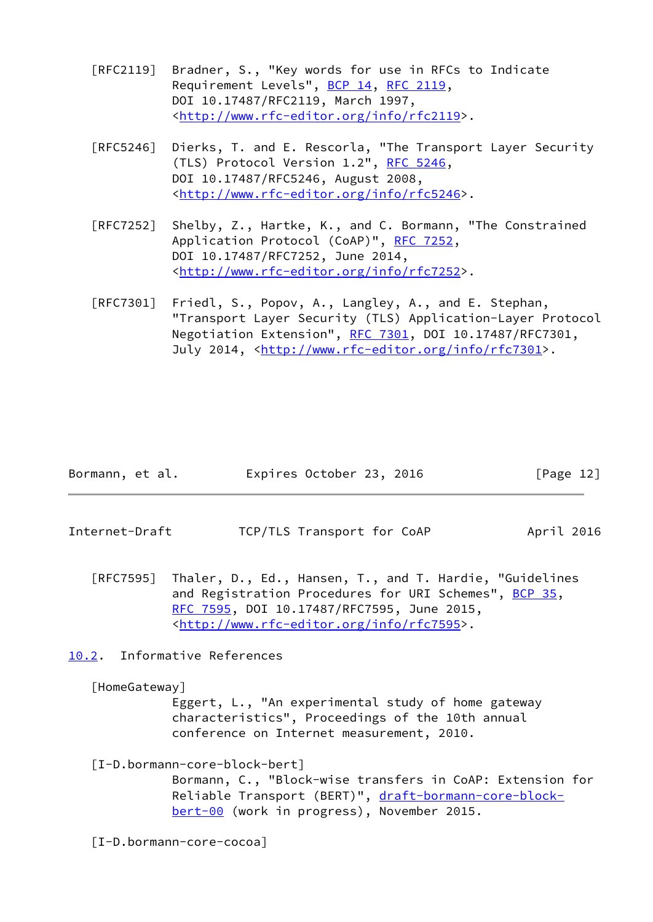- [RFC2119] Bradner, S., "Key words for use in RFCs to Indicate Requirement Levels", [BCP 14](https://datatracker.ietf.org/doc/pdf/bcp14), [RFC 2119](https://datatracker.ietf.org/doc/pdf/rfc2119), DOI 10.17487/RFC2119, March 1997, <<http://www.rfc-editor.org/info/rfc2119>>.
- [RFC5246] Dierks, T. and E. Rescorla, "The Transport Layer Security (TLS) Protocol Version 1.2", [RFC 5246](https://datatracker.ietf.org/doc/pdf/rfc5246), DOI 10.17487/RFC5246, August 2008, <<http://www.rfc-editor.org/info/rfc5246>>.
- [RFC7252] Shelby, Z., Hartke, K., and C. Bormann, "The Constrained Application Protocol (CoAP)", [RFC 7252](https://datatracker.ietf.org/doc/pdf/rfc7252), DOI 10.17487/RFC7252, June 2014, <<http://www.rfc-editor.org/info/rfc7252>>.
- [RFC7301] Friedl, S., Popov, A., Langley, A., and E. Stephan, "Transport Layer Security (TLS) Application-Layer Protocol Negotiation Extension", [RFC 7301,](https://datatracker.ietf.org/doc/pdf/rfc7301) DOI 10.17487/RFC7301, July 2014, <<http://www.rfc-editor.org/info/rfc7301>>.

| Bormann, et al. | Expires October 23, 2016 |  | [Page 12] |
|-----------------|--------------------------|--|-----------|
|-----------------|--------------------------|--|-----------|

- <span id="page-13-1"></span>Internet-Draft TCP/TLS Transport for CoAP April 2016
	- [RFC7595] Thaler, D., Ed., Hansen, T., and T. Hardie, "Guidelines and Registration Procedures for URI Schemes", [BCP 35](https://datatracker.ietf.org/doc/pdf/bcp35), [RFC 7595,](https://datatracker.ietf.org/doc/pdf/rfc7595) DOI 10.17487/RFC7595, June 2015, <<http://www.rfc-editor.org/info/rfc7595>>.

<span id="page-13-0"></span>[10.2](#page-13-0). Informative References

<span id="page-13-2"></span>[HomeGateway]

 Eggert, L., "An experimental study of home gateway characteristics", Proceedings of the 10th annual conference on Internet measurement, 2010.

[I-D.bormann-core-block-bert]

 Bormann, C., "Block-wise transfers in CoAP: Extension for Reliable Transport (BERT)", [draft-bormann-core-block](https://datatracker.ietf.org/doc/pdf/draft-bormann-core-block-bert-00) [bert-00](https://datatracker.ietf.org/doc/pdf/draft-bormann-core-block-bert-00) (work in progress), November 2015.

<span id="page-13-3"></span>[I-D.bormann-core-cocoa]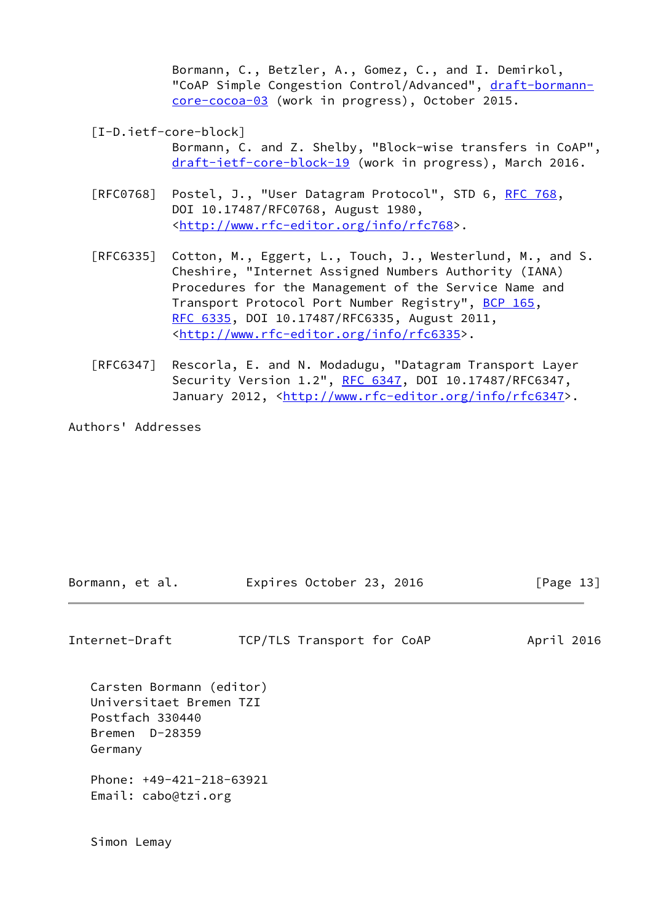Bormann, C., Betzler, A., Gomez, C., and I. Demirkol, "CoAP Simple Congestion Control/Advanced", [draft-bormann](https://datatracker.ietf.org/doc/pdf/draft-bormann-core-cocoa-03) [core-cocoa-03](https://datatracker.ietf.org/doc/pdf/draft-bormann-core-cocoa-03) (work in progress), October 2015.

<span id="page-14-0"></span>[I-D.ietf-core-block]

 Bormann, C. and Z. Shelby, "Block-wise transfers in CoAP", [draft-ietf-core-block-19](https://datatracker.ietf.org/doc/pdf/draft-ietf-core-block-19) (work in progress), March 2016.

- [RFC0768] Postel, J., "User Datagram Protocol", STD 6, [RFC 768](https://datatracker.ietf.org/doc/pdf/rfc768), DOI 10.17487/RFC0768, August 1980, <[http://www.rfc-editor.org/info/rfc768>](http://www.rfc-editor.org/info/rfc768).
- [RFC6335] Cotton, M., Eggert, L., Touch, J., Westerlund, M., and S. Cheshire, "Internet Assigned Numbers Authority (IANA) Procedures for the Management of the Service Name and Transport Protocol Port Number Registry", [BCP 165](https://datatracker.ietf.org/doc/pdf/bcp165), [RFC 6335,](https://datatracker.ietf.org/doc/pdf/rfc6335) DOI 10.17487/RFC6335, August 2011, <<http://www.rfc-editor.org/info/rfc6335>>.
- [RFC6347] Rescorla, E. and N. Modadugu, "Datagram Transport Layer Security Version 1.2", [RFC 6347](https://datatracker.ietf.org/doc/pdf/rfc6347), DOI 10.17487/RFC6347, January 2012, [<http://www.rfc-editor.org/info/rfc6347](http://www.rfc-editor.org/info/rfc6347)>.

Authors' Addresses

| Bormann, et al. | Expires October 23, 2016 | [Page 13] |  |
|-----------------|--------------------------|-----------|--|
|                 |                          |           |  |

| Internet-Draft | TCP/TLS Transport for CoAP |  | April 2016 |  |
|----------------|----------------------------|--|------------|--|
|                |                            |  |            |  |

 Carsten Bormann (editor) Universitaet Bremen TZI Postfach 330440 Bremen D-28359 Germany Phone: +49-421-218-63921 Email: cabo@tzi.org

Simon Lemay